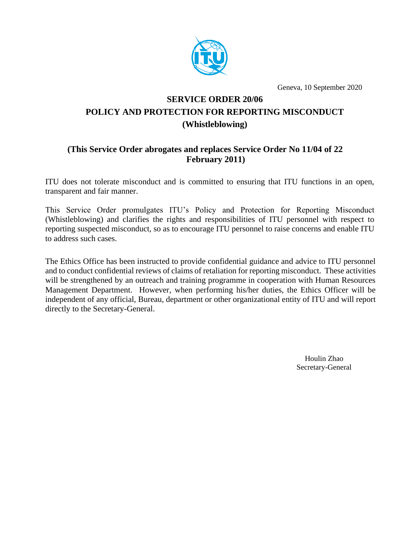

Geneva, 10 September 2020

# **SERVICE ORDER 20/06 POLICY AND PROTECTION FOR REPORTING MISCONDUCT (Whistleblowing)**

# **(This Service Order abrogates and replaces Service Order No 11/04 of 22 February 2011)**

ITU does not tolerate misconduct and is committed to ensuring that ITU functions in an open, transparent and fair manner.

This Service Order promulgates ITU's Policy and Protection for Reporting Misconduct (Whistleblowing) and clarifies the rights and responsibilities of ITU personnel with respect to reporting suspected misconduct, so as to encourage ITU personnel to raise concerns and enable ITU to address such cases.

The Ethics Office has been instructed to provide confidential guidance and advice to ITU personnel and to conduct confidential reviews of claims of retaliation for reporting misconduct. These activities will be strengthened by an outreach and training programme in cooperation with Human Resources Management Department. However, when performing his/her duties, the Ethics Officer will be independent of any official, Bureau, department or other organizational entity of ITU and will report directly to the Secretary-General.

> Houlin Zhao Secretary-General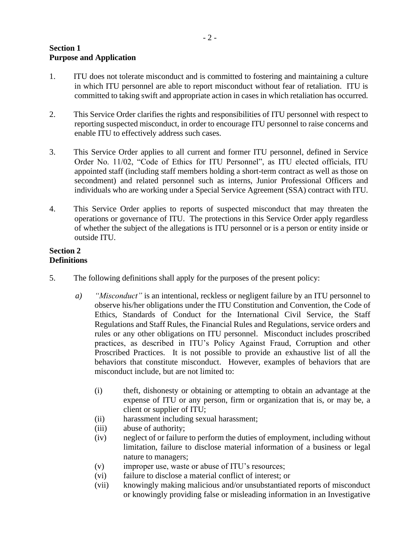#### **Section 1 Purpose and Application**

- 1. ITU does not tolerate misconduct and is committed to fostering and maintaining a culture in which ITU personnel are able to report misconduct without fear of retaliation. ITU is committed to taking swift and appropriate action in cases in which retaliation has occurred.
- 2. This Service Order clarifies the rights and responsibilities of ITU personnel with respect to reporting suspected misconduct, in order to encourage ITU personnel to raise concerns and enable ITU to effectively address such cases.
- 3. This Service Order applies to all current and former ITU personnel, defined in Service Order No. 11/02, "Code of Ethics for ITU Personnel", as ITU elected officials, ITU appointed staff (including staff members holding a short-term contract as well as those on secondment) and related personnel such as interns, Junior Professional Officers and individuals who are working under a Special Service Agreement (SSA) contract with ITU.
- 4. This Service Order applies to reports of suspected misconduct that may threaten the operations or governance of ITU. The protections in this Service Order apply regardless of whether the subject of the allegations is ITU personnel or is a person or entity inside or outside ITU.

#### **Section 2 Definitions**

- 5. The following definitions shall apply for the purposes of the present policy:
	- *a) "Misconduct"* is an intentional, reckless or negligent failure by an ITU personnel to observe his/her obligations under the ITU Constitution and Convention, the Code of Ethics, Standards of Conduct for the International Civil Service, the Staff Regulations and Staff Rules, the Financial Rules and Regulations, service orders and rules or any other obligations on ITU personnel. Misconduct includes proscribed practices, as described in ITU's Policy Against Fraud, Corruption and other Proscribed Practices. It is not possible to provide an exhaustive list of all the behaviors that constitute misconduct. However, examples of behaviors that are misconduct include, but are not limited to:
		- (i) theft, dishonesty or obtaining or attempting to obtain an advantage at the expense of ITU or any person, firm or organization that is, or may be, a client or supplier of ITU;
		- (ii) harassment including sexual harassment;
		- (iii) abuse of authority;
		- (iv) neglect of or failure to perform the duties of employment, including without limitation, failure to disclose material information of a business or legal nature to managers;
		- (v) improper use, waste or abuse of ITU's resources;
		- (vi) failure to disclose a material conflict of interest; or
		- (vii) knowingly making malicious and/or unsubstantiated reports of misconduct or knowingly providing false or misleading information in an Investigative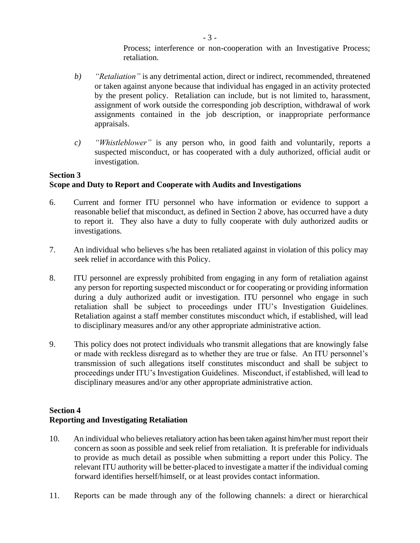Process; interference or non-cooperation with an Investigative Process; retaliation.

- *b) "Retaliation"* is any detrimental action, direct or indirect, recommended, threatened or taken against anyone because that individual has engaged in an activity protected by the present policy. Retaliation can include, but is not limited to, harassment, assignment of work outside the corresponding job description, withdrawal of work assignments contained in the job description, or inappropriate performance appraisals.
- *c) "Whistleblower"* is any person who, in good faith and voluntarily, reports a suspected misconduct, or has cooperated with a duly authorized, official audit or investigation.

# **Section 3 Scope and Duty to Report and Cooperate with Audits and Investigations**

- 6. Current and former ITU personnel who have information or evidence to support a reasonable belief that misconduct, as defined in Section 2 above, has occurred have a duty to report it. They also have a duty to fully cooperate with duly authorized audits or investigations.
- 7. An individual who believes s/he has been retaliated against in violation of this policy may seek relief in accordance with this Policy.
- 8. ITU personnel are expressly prohibited from engaging in any form of retaliation against any person for reporting suspected misconduct or for cooperating or providing information during a duly authorized audit or investigation. ITU personnel who engage in such retaliation shall be subject to proceedings under ITU's Investigation Guidelines. Retaliation against a staff member constitutes misconduct which, if established, will lead to disciplinary measures and/or any other appropriate administrative action.
- 9. This policy does not protect individuals who transmit allegations that are knowingly false or made with reckless disregard as to whether they are true or false. An ITU personnel's transmission of such allegations itself constitutes misconduct and shall be subject to proceedings under ITU's Investigation Guidelines. Misconduct, if established, will lead to disciplinary measures and/or any other appropriate administrative action.

### **Section 4**

# **Reporting and Investigating Retaliation**

- 10. An individual who believes retaliatory action has been taken against him/her must report their concern as soon as possible and seek relief from retaliation. It is preferable for individuals to provide as much detail as possible when submitting a report under this Policy. The relevant ITU authority will be better-placed to investigate a matter if the individual coming forward identifies herself/himself, or at least provides contact information.
- 11. Reports can be made through any of the following channels: a direct or hierarchical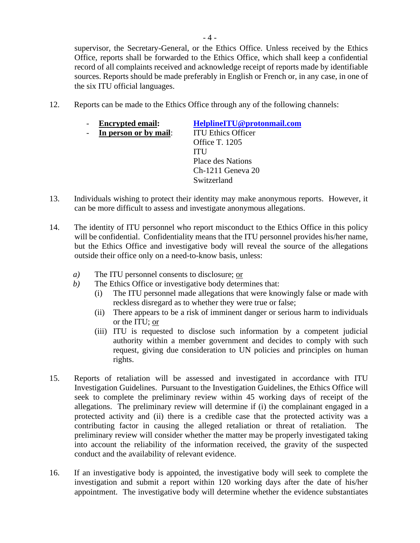supervisor, the Secretary-General, or the Ethics Office. Unless received by the Ethics Office, reports shall be forwarded to the Ethics Office, which shall keep a confidential record of all complaints received and acknowledge receipt of reports made by identifiable sources. Reports should be made preferably in English or French or, in any case, in one of the six ITU official languages.

12. Reports can be made to the Ethics Office through any of the following channels:

| <b>Encrypted email:</b> | HelplineITU@protonmail.com |
|-------------------------|----------------------------|
| In person or by mail:   | <b>ITU Ethics Officer</b>  |
|                         | <b>Office T. 1205</b>      |
|                         | ITU                        |
|                         | Place des Nations          |
|                         | $Ch-1211$ Geneva 20        |
|                         | Switzerland                |
|                         |                            |

- 13. Individuals wishing to protect their identity may make anonymous reports. However, it can be more difficult to assess and investigate anonymous allegations.
- 14. The identity of ITU personnel who report misconduct to the Ethics Office in this policy will be confidential. Confidentiality means that the ITU personnel provides his/her name, but the Ethics Office and investigative body will reveal the source of the allegations outside their office only on a need-to-know basis, unless:
	- *a)* The ITU personnel consents to disclosure; or
	- *b)* The Ethics Office or investigative body determines that:
		- (i) The ITU personnel made allegations that were knowingly false or made with reckless disregard as to whether they were true or false;
		- (ii) There appears to be a risk of imminent danger or serious harm to individuals or the ITU; or
		- (iii) ITU is requested to disclose such information by a competent judicial authority within a member government and decides to comply with such request, giving due consideration to UN policies and principles on human rights.
- 15. Reports of retaliation will be assessed and investigated in accordance with ITU Investigation Guidelines. Pursuant to the Investigation Guidelines, the Ethics Office will seek to complete the preliminary review within 45 working days of receipt of the allegations. The preliminary review will determine if (i) the complainant engaged in a protected activity and (ii) there is a credible case that the protected activity was a contributing factor in causing the alleged retaliation or threat of retaliation. The preliminary review will consider whether the matter may be properly investigated taking into account the reliability of the information received, the gravity of the suspected conduct and the availability of relevant evidence.
- 16. If an investigative body is appointed, the investigative body will seek to complete the investigation and submit a report within 120 working days after the date of his/her appointment. The investigative body will determine whether the evidence substantiates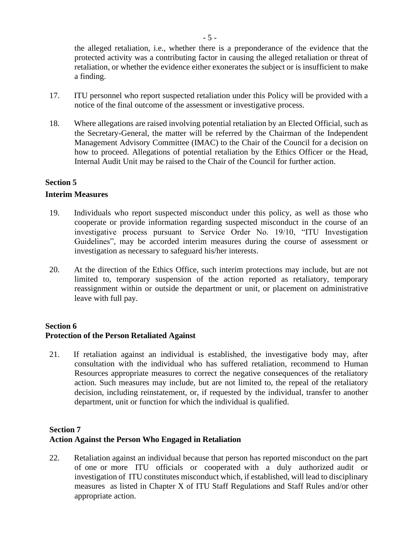the alleged retaliation, i.e., whether there is a preponderance of the evidence that the protected activity was a contributing factor in causing the alleged retaliation or threat of retaliation, or whether the evidence either exonerates the subject or is insufficient to make a finding.

- 17. ITU personnel who report suspected retaliation under this Policy will be provided with a notice of the final outcome of the assessment or investigative process.
- 18. Where allegations are raised involving potential retaliation by an Elected Official, such as the Secretary-General, the matter will be referred by the Chairman of the Independent Management Advisory Committee (IMAC) to the Chair of the Council for a decision on how to proceed. Allegations of potential retaliation by the Ethics Officer or the Head, Internal Audit Unit may be raised to the Chair of the Council for further action.

#### **Section 5**

#### **Interim Measures**

- 19. Individuals who report suspected misconduct under this policy, as well as those who cooperate or provide information regarding suspected misconduct in the course of an investigative process pursuant to Service Order No. 19/10, "ITU Investigation Guidelines", may be accorded interim measures during the course of assessment or investigation as necessary to safeguard his/her interests.
- 20. At the direction of the Ethics Office, such interim protections may include, but are not limited to, temporary suspension of the action reported as retaliatory, temporary reassignment within or outside the department or unit, or placement on administrative leave with full pay.

### **Section 6**

# **Protection of the Person Retaliated Against**

21. If retaliation against an individual is established, the investigative body may, after consultation with the individual who has suffered retaliation, recommend to Human Resources appropriate measures to correct the negative consequences of the retaliatory action. Such measures may include, but are not limited to, the repeal of the retaliatory decision, including reinstatement, or, if requested by the individual, transfer to another department, unit or function for which the individual is qualified.

### **Section 7**

### **Action Against the Person Who Engaged in Retaliation**

22. Retaliation against an individual because that person has reported misconduct on the part of one or more ITU officials or cooperated with a duly authorized audit or investigation of ITU constitutes misconduct which, if established, will lead to disciplinary measures as listed in Chapter X of ITU Staff Regulations and Staff Rules and/or other appropriate action.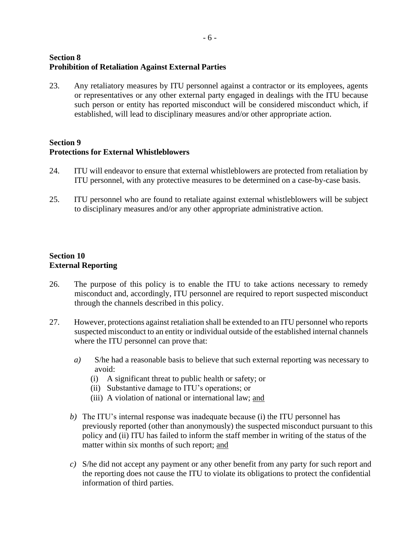# **Section 8 Prohibition of Retaliation Against External Parties**

23. Any retaliatory measures by ITU personnel against a contractor or its employees, agents or representatives or any other external party engaged in dealings with the ITU because such person or entity has reported misconduct will be considered misconduct which, if established, will lead to disciplinary measures and/or other appropriate action.

# **Section 9 Protections for External Whistleblowers**

- 24. ITU will endeavor to ensure that external whistleblowers are protected from retaliation by ITU personnel, with any protective measures to be determined on a case-by-case basis.
- 25. ITU personnel who are found to retaliate against external whistleblowers will be subject to disciplinary measures and/or any other appropriate administrative action.

#### **Section 10 External Reporting**

- 26. The purpose of this policy is to enable the ITU to take actions necessary to remedy misconduct and, accordingly, ITU personnel are required to report suspected misconduct through the channels described in this policy.
- 27. However, protections against retaliation shall be extended to an ITU personnel who reports suspected misconduct to an entity or individual outside of the established internal channels where the ITU personnel can prove that:
	- *a)* S/he had a reasonable basis to believe that such external reporting was necessary to avoid:
		- (i) A significant threat to public health or safety; or
		- (ii) Substantive damage to ITU's operations; or
		- (iii) A violation of national or international law; and
	- *b)* The ITU's internal response was inadequate because (i) the ITU personnel has previously reported (other than anonymously) the suspected misconduct pursuant to this policy and (ii) ITU has failed to inform the staff member in writing of the status of the matter within six months of such report; and
	- *c)* S/he did not accept any payment or any other benefit from any party for such report and the reporting does not cause the ITU to violate its obligations to protect the confidential information of third parties.